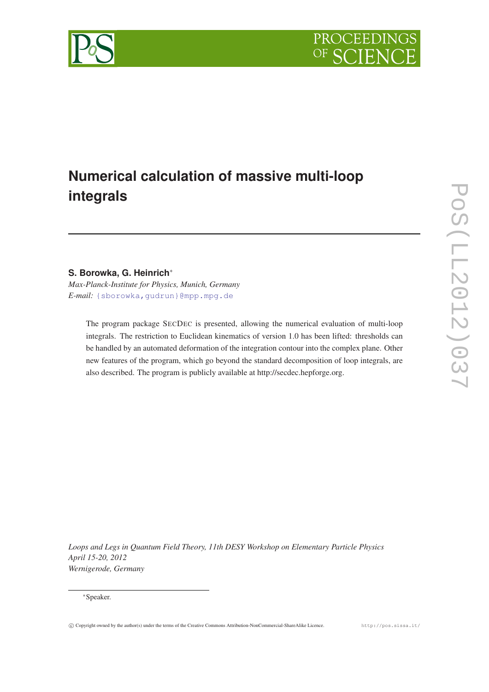

# **Numerical calculation of massive multi-loop integrals**

## **S. Borowka, G. Heinrich**<sup>∗</sup>

*Max-Planck-Institute for Physics, Munich, Germany E-mail:* [{sborowka,gudrun}@mpp.mpg.de](mailto:protect T1	extbraceleft sborowka,gudrunprotect T1	extbraceright @mpp.mpg.de)

The program package SECDEC is presented, allowing the numerical evaluation of multi-loop integrals. The restriction to Euclidean kinematics of version 1.0 has been lifted: thresholds can be handled by an automated deformation of the integration contour into the complex plane. Other new features of the program, which go beyond the standard decomposition of loop integrals, are also described. The program is publicly available at http://secdec.hepforge.org.

*Loops and Legs in Quantum Field Theory, 11th DESY Workshop on Elementary Particle Physics April 15-20, 2012 Wernigerode, Germany*

<sup>∗</sup>Speaker.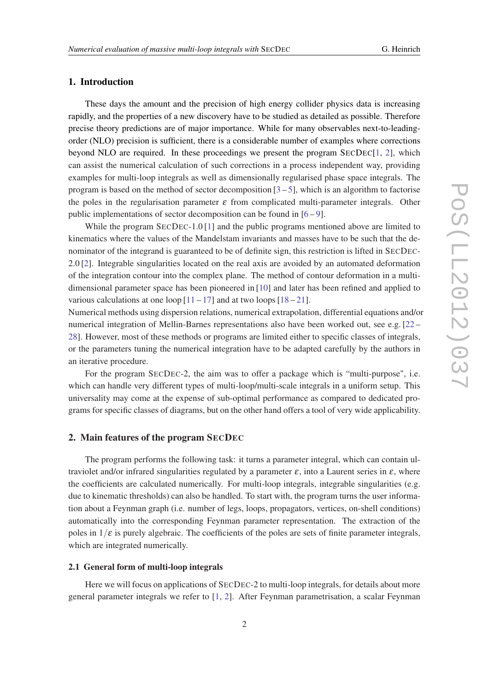### 1. Introduction

These days the amount and the precision of high energy collider physics data is increasing rapidly, and the properties of a new discovery have to be studied as detailed as possible. Therefore precise theory predictions are of major importance. While for many observables next-to-leadingorder (NLO) precision is sufficient, there is a considerable number of examples where corrections beyond NLO are required. In these proceedings we present the program SECDEC[\[1,](#page-4-0) [2\]](#page-4-0), which can assist the numerical calculation of such corrections in a process independent way, providing examples for multi-loop integrals as well as dimensionally regularised phase space integrals. The program is based on the method of sector decomposition  $[3-5]$  $[3-5]$  $[3-5]$  $[3-5]$ , which is an algorithm to factorise the poles in the regularisation parameter  $\varepsilon$  from complicated multi-parameter integrals. Other public implementations of sector decomposition can be found in [\[6](#page-5-0) – [9](#page-5-0)].

While the program SECDEC-1.0 [\[1\]](#page-4-0) and the public programs mentioned above are limited to kinematics where the values of the Mandelstam invariants and masses have to be such that the denominator of the integrand is guaranteed to be of definite sign, this restriction is lifted in SECDEC-2.0 [\[2\]](#page-4-0). Integrable singularities located on the real axis are avoided by an automated deformation of the integration contour into the complex plane. The method of contour deformation in a multidimensional parameter space has been pioneered in [\[10](#page-5-0)] and later has been refined and applied to various calculations at one loop  $[11 - 17]$  $[11 - 17]$  $[11 - 17]$  $[11 - 17]$  and at two loops  $[18 - 21]$  $[18 - 21]$  $[18 - 21]$  $[18 - 21]$ .

Numerical methods using dispersion relations, numerical extrapolation, differential equations and/or numerical integration of Mellin-Barnes representations also have been worked out, see e.g. [[22](#page-5-0) – [28](#page-5-0)]. However, most of these methods or programs are limited either to specific classes of integrals, or the parameters tuning the numerical integration have to be adapted carefully by the authors in an iterative procedure.

For the program SECDEC-2, the aim was to offer a package which is "multi-purpose", i.e. which can handle very different types of multi-loop/multi-scale integrals in a uniform setup. This universality may come at the expense of sub-optimal performance as compared to dedicated programs for specific classes of diagrams, but on the other hand offers a tool of very wide applicability.

### 2. Main features of the program SECDEC

The program performs the following task: it turns a parameter integral, which can contain ultraviolet and/or infrared singularities regulated by a parameter  $\varepsilon$ , into a Laurent series in  $\varepsilon$ , where the coefficients are calculated numerically. For multi-loop integrals, integrable singularities (e.g. due to kinematic thresholds) can also be handled. To start with, the program turns the user information about a Feynman graph (i.e. number of legs, loops, propagators, vertices, on-shell conditions) automatically into the corresponding Feynman parameter representation. The extraction of the poles in  $1/\varepsilon$  is purely algebraic. The coefficients of the poles are sets of finite parameter integrals, which are integrated numerically.

### 2.1 General form of multi-loop integrals

Here we will focus on applications of SECDEC-2 to multi-loop integrals, for details about more general parameter integrals we refer to [[1](#page-4-0), [2\]](#page-4-0). After Feynman parametrisation, a scalar Feynman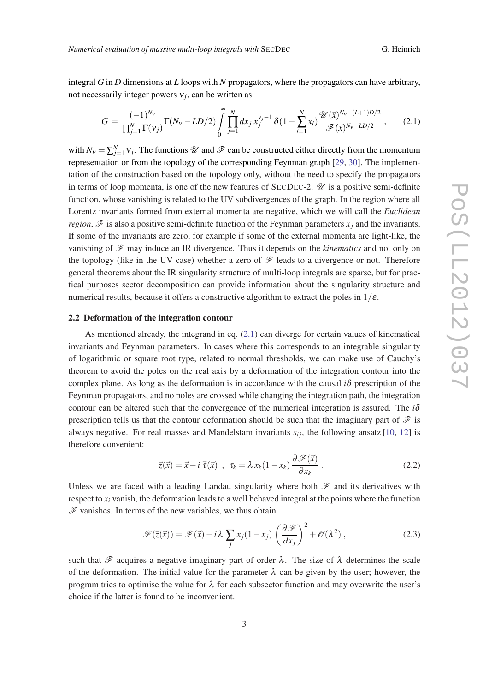<span id="page-2-0"></span>integral *G* in *D* dimensions at *L* loops with *N* propagators, where the propagators can have arbitrary, not necessarily integer powers ν*<sup>j</sup>* , can be written as

$$
G = \frac{(-1)^{N_v}}{\prod_{j=1}^{N} \Gamma(v_j)} \Gamma(N_v - LD/2) \int_{0}^{\infty} \prod_{j=1}^{N} dx_j x_j^{v_j - 1} \delta(1 - \sum_{l=1}^{N} x_l) \frac{\mathcal{U}(\vec{x})^{N_v - (L+1)D/2}}{\mathcal{F}(\vec{x})^{N_v - LD/2}}, \quad (2.1)
$$

with  $N_v = \sum_{j=1}^{N} v_j$ . The functions  $\mathscr U$  and  $\mathscr F$  can be constructed either directly from the momentum representation or from the topology of the corresponding Feynman graph [\[29,](#page-5-0) [30](#page-5-0)]. The implementation of the construction based on the topology only, without the need to specify the propagators in terms of loop momenta, is one of the new features of SECDEC-2.  $\mathcal{U}$  is a positive semi-definite function, whose vanishing is related to the UV subdivergences of the graph. In the region where all Lorentz invariants formed from external momenta are negative, which we will call the *Euclidean region*,  $\mathscr F$  is also a positive semi-definite function of the Feynman parameters  $x_i$  and the invariants. If some of the invariants are zero, for example if some of the external momenta are light-like, the vanishing of  $\mathscr F$  may induce an IR divergence. Thus it depends on the *kinematics* and not only on the topology (like in the UV case) whether a zero of  $\mathscr F$  leads to a divergence or not. Therefore general theorems about the IR singularity structure of multi-loop integrals are sparse, but for practical purposes sector decomposition can provide information about the singularity structure and numerical results, because it offers a constructive algorithm to extract the poles in  $1/\varepsilon$ .

### 2.2 Deformation of the integration contour

As mentioned already, the integrand in eq. (2.1) can diverge for certain values of kinematical invariants and Feynman parameters. In cases where this corresponds to an integrable singularity of logarithmic or square root type, related to normal thresholds, we can make use of Cauchy's theorem to avoid the poles on the real axis by a deformation of the integration contour into the complex plane. As long as the deformation is in accordance with the causal  $i\delta$  prescription of the Feynman propagators, and no poles are crossed while changing the integration path, the integration contour can be altered such that the convergence of the numerical integration is assured. The  $i\delta$ prescription tells us that the contour deformation should be such that the imaginary part of  $\mathcal F$  is always negative. For real masses and Mandelstam invariants  $s_{ij}$ , the following ansatz [\[10](#page-5-0), [12\]](#page-5-0) is therefore convenient:

$$
\vec{z}(\vec{x}) = \vec{x} - i \, \vec{\tau}(\vec{x}) \, , \, \tau_k = \lambda \, x_k (1 - x_k) \, \frac{\partial \mathscr{F}(\vec{x})}{\partial x_k} \, . \tag{2.2}
$$

Unless we are faced with a leading Landau singularity where both  $\mathscr F$  and its derivatives with respect to  $x_i$  vanish, the deformation leads to a well behaved integral at the points where the function  $\mathscr F$  vanishes. In terms of the new variables, we thus obtain

$$
\mathscr{F}(\vec{z}(\vec{x})) = \mathscr{F}(\vec{x}) - i\lambda \sum_{j} x_j (1 - x_j) \left( \frac{\partial \mathscr{F}}{\partial x_j} \right)^2 + \mathscr{O}(\lambda^2) , \qquad (2.3)
$$

such that  $\mathscr F$  acquires a negative imaginary part of order  $\lambda$ . The size of  $\lambda$  determines the scale of the deformation. The initial value for the parameter  $\lambda$  can be given by the user; however, the program tries to optimise the value for  $\lambda$  for each subsector function and may overwrite the user's choice if the latter is found to be inconvenient.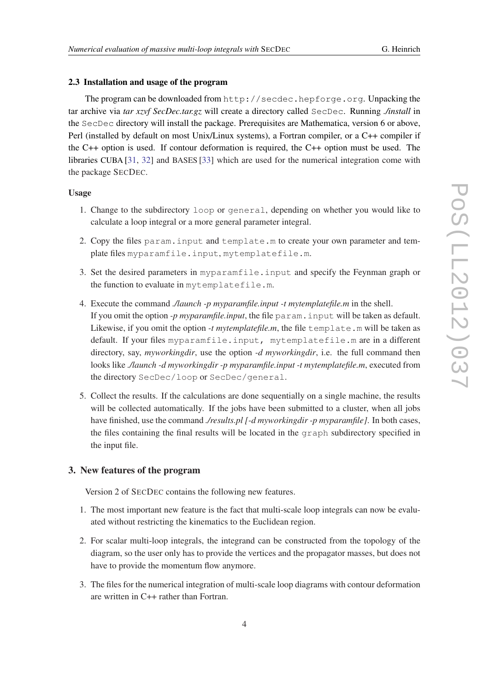### 2.3 Installation and usage of the program

The program can be downloaded from http://secdec.hepforge.org. Unpacking the tar archive via *tar xzvf SecDec.tar.gz* will create a directory called SecDec. Running *./install* in the SecDec directory will install the package. Prerequisites are Mathematica, version 6 or above, Perl (installed by default on most Unix/Linux systems), a Fortran compiler, or a C++ compiler if the C++ option is used. If contour deformation is required, the C++ option must be used. The libraries CUBA [\[31](#page-5-0), [32](#page-5-0)] and BASES [[33\]](#page-5-0) which are used for the numerical integration come with the package SECDEC.

### Usage

- 1. Change to the subdirectory loop or general, depending on whether you would like to calculate a loop integral or a more general parameter integral.
- 2. Copy the files param.input and template.m to create your own parameter and template files myparamfile.input, mytemplatefile.m.
- 3. Set the desired parameters in myparamfile.input and specify the Feynman graph or the function to evaluate in mytemplatefile.m.
- 4. Execute the command *./launch -p myparamfile.input -t mytemplatefile.m* in the shell. If you omit the option *-p myparamfile.input*, the file param.input will be taken as default. Likewise, if you omit the option *-t mytemplatefile.m*, the file template.m will be taken as default. If your files myparamfile.input, mytemplatefile.m are in a different directory, say, *myworkingdir*, use the option *-d myworkingdir*, i.e. the full command then looks like *./launch -d myworkingdir -p myparamfile.input -t mytemplatefile.m*, executed from the directory SecDec/loop or SecDec/general.
- 5. Collect the results. If the calculations are done sequentially on a single machine, the results will be collected automatically. If the jobs have been submitted to a cluster, when all jobs have finished, use the command *./results.pl [-d myworkingdir -p myparamfile]*. In both cases, the files containing the final results will be located in the graph subdirectory specified in the input file.

### 3. New features of the program

Version 2 of SECDEC contains the following new features.

- 1. The most important new feature is the fact that multi-scale loop integrals can now be evaluated without restricting the kinematics to the Euclidean region.
- 2. For scalar multi-loop integrals, the integrand can be constructed from the topology of the diagram, so the user only has to provide the vertices and the propagator masses, but does not have to provide the momentum flow anymore.
- 3. The files for the numerical integration of multi-scale loop diagrams with contour deformation are written in C++ rather than Fortran.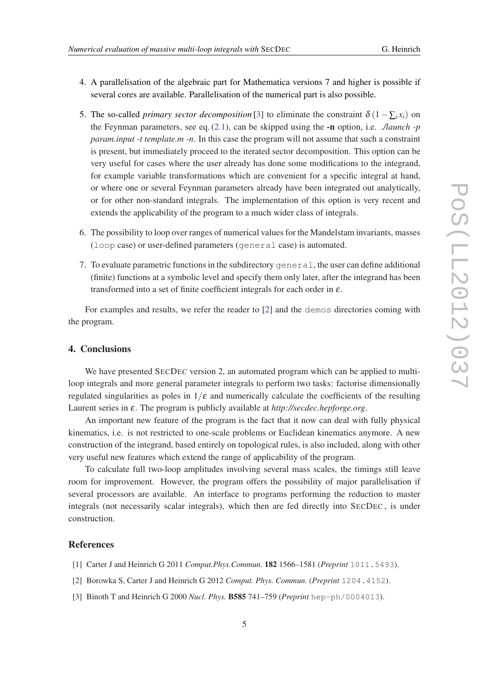- 
- <span id="page-4-0"></span>4. A parallelisation of the algebraic part for Mathematica versions 7 and higher is possible if several cores are available. Parallelisation of the numerical part is also possible.
- 5. The so-called *primary sector decomposition* [3] to eliminate the constraint  $\delta (1 \sum_i x_i)$  on the Feynman parameters, see eq. [\(2.1\)](#page-2-0), can be skipped using the -n option, i.e. *./launch -p param.input -t template.m -n*. In this case the program will not assume that such a constraint is present, but immediately proceed to the iterated sector decomposition. This option can be very useful for cases where the user already has done some modifications to the integrand, for example variable transformations which are convenient for a specific integral at hand, or where one or several Feynman parameters already have been integrated out analytically, or for other non-standard integrals. The implementation of this option is very recent and extends the applicability of the program to a much wider class of integrals.
- 6. The possibility to loop over ranges of numerical values for the Mandelstam invariants, masses (loop case) or user-defined parameters (general case) is automated.
- 7. To evaluate parametric functions in the subdirectory general, the user can define additional (finite) functions at a symbolic level and specify them only later, after the integrand has been transformed into a set of finite coefficient integrals for each order in  $\varepsilon$ .

For examples and results, we refer the reader to [2] and the demos directories coming with the program.

### 4. Conclusions

We have presented SECDEC version 2, an automated program which can be applied to multiloop integrals and more general parameter integrals to perform two tasks: factorise dimensionally regulated singularities as poles in  $1/\varepsilon$  and numerically calculate the coefficients of the resulting Laurent series in ε. The program is publicly available at *http://secdec.hepforge.org*.

An important new feature of the program is the fact that it now can deal with fully physical kinematics, i.e. is not restricted to one-scale problems or Euclidean kinematics anymore. A new construction of the integrand, based entirely on topological rules, is also included, along with other very useful new features which extend the range of applicability of the program.

To calculate full two-loop amplitudes involving several mass scales, the timings still leave room for improvement. However, the program offers the possibility of major parallelisation if several processors are available. An interface to programs performing the reduction to master integrals (not necessarily scalar integrals), which then are fed directly into SECDEC , is under construction.

### References

- [1] Carter J and Heinrich G 2011 *Comput.Phys.Commun.* 182 1566–1581 (*Preprint* 1011.5493).
- [2] Borowka S, Carter J and Heinrich G 2012 *Comput. Phys. Commun.* (*Preprint* 1204.4152).
- [3] Binoth T and Heinrich G 2000 *Nucl. Phys.* B585 741–759 (*Preprint* hep-ph/0004013).